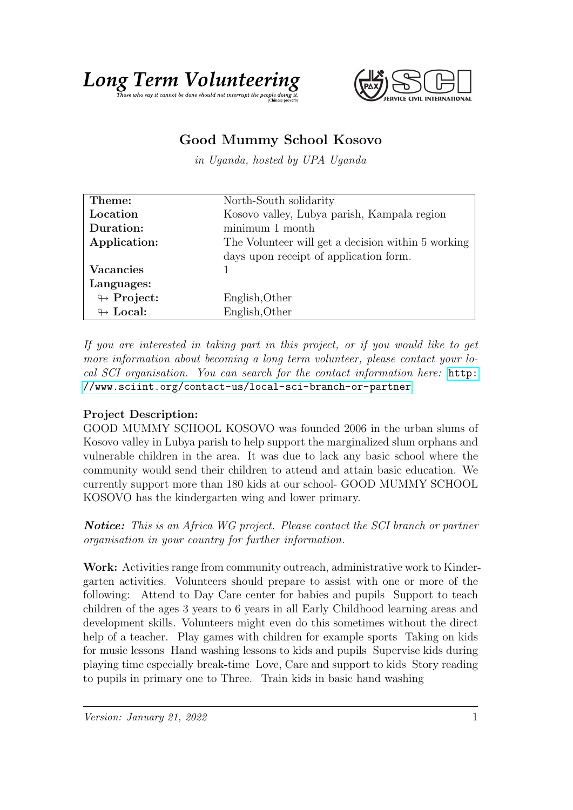# Long Term Volumet the epople doing it.

# Good Mummy School Kosovo

in Uganda, hosted by UPA Uganda

| Theme:                     | North-South solidarity                             |
|----------------------------|----------------------------------------------------|
| Location                   | Kosovo valley, Lubya parish, Kampala region        |
| Duration:                  | minimum 1 month                                    |
| Application:               | The Volunteer will get a decision within 5 working |
|                            | days upon receipt of application form.             |
| <b>Vacancies</b>           |                                                    |
| Languages:                 |                                                    |
| $\looparrowright$ Project: | English, Other                                     |
| $\leftrightarrow$ Local:   | English, Other                                     |

If you are interested in taking part in this project, or if you would like to get more information about becoming a long term volunteer, please contact your local SCI organisation. You can search for the contact information here: [http:](http://www.sciint.org/contact-us/local-sci-branch-or-partner) [//www.sciint.org/contact-us/local-sci-branch-or-partner](http://www.sciint.org/contact-us/local-sci-branch-or-partner)

## Project Description:

GOOD MUMMY SCHOOL KOSOVO was founded 2006 in the urban slums of Kosovo valley in Lubya parish to help support the marginalized slum orphans and vulnerable children in the area. It was due to lack any basic school where the community would send their children to attend and attain basic education. We currently support more than 180 kids at our school- GOOD MUMMY SCHOOL KOSOVO has the kindergarten wing and lower primary.

Notice: This is an Africa WG project. Please contact the SCI branch or partner organisation in your country for further information.

Work: Activities range from community outreach, administrative work to Kindergarten activities. Volunteers should prepare to assist with one or more of the following: Attend to Day Care center for babies and pupils Support to teach children of the ages 3 years to 6 years in all Early Childhood learning areas and development skills. Volunteers might even do this sometimes without the direct help of a teacher. Play games with children for example sports Taking on kids for music lessons Hand washing lessons to kids and pupils Supervise kids during playing time especially break-time Love, Care and support to kids Story reading to pupils in primary one to Three. Train kids in basic hand washing